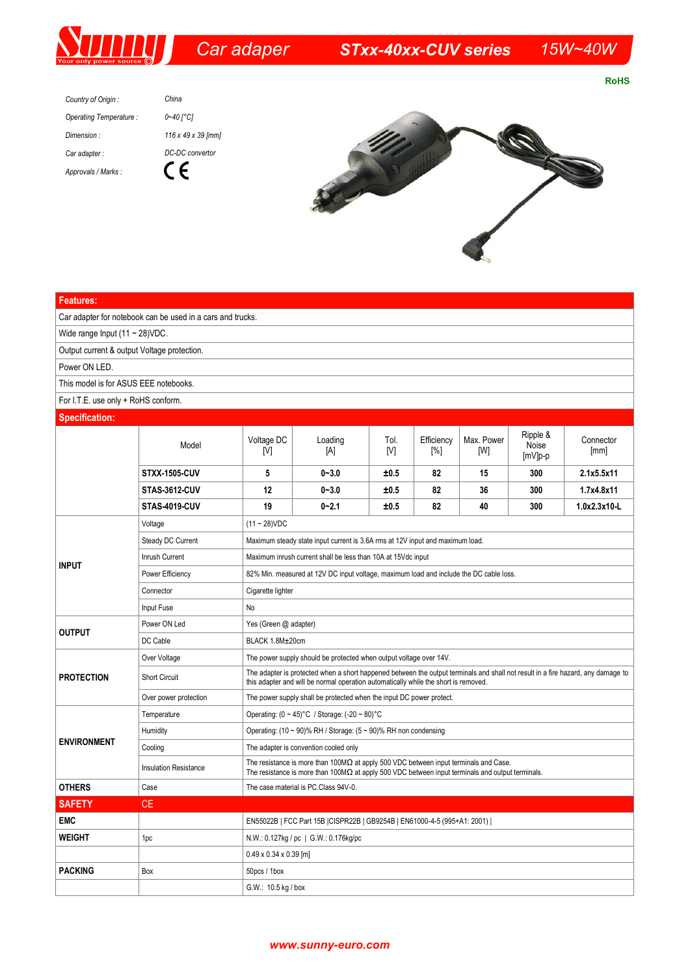

**RoHS** 

*China Country of Origin : Operating Temperature : 0~40 [°C] Dimension : 116 x 49 x 39 [mm] Car adapter : DC-DC convertor*  $C \in$ *Approvals / Marks :*



| <b>Features:</b>                                           |                              |                                                                                                                                                                                                                         |                |             |                   |                   |                              |                   |  |
|------------------------------------------------------------|------------------------------|-------------------------------------------------------------------------------------------------------------------------------------------------------------------------------------------------------------------------|----------------|-------------|-------------------|-------------------|------------------------------|-------------------|--|
| Car adapter for notebook can be used in a cars and trucks. |                              |                                                                                                                                                                                                                         |                |             |                   |                   |                              |                   |  |
| Wide range Input $(11 - 28)$ VDC.                          |                              |                                                                                                                                                                                                                         |                |             |                   |                   |                              |                   |  |
| Output current & output Voltage protection.                |                              |                                                                                                                                                                                                                         |                |             |                   |                   |                              |                   |  |
| Power ON LED.                                              |                              |                                                                                                                                                                                                                         |                |             |                   |                   |                              |                   |  |
| This model is for ASUS EEE notebooks.                      |                              |                                                                                                                                                                                                                         |                |             |                   |                   |                              |                   |  |
| For I.T.E. use only + RoHS conform.                        |                              |                                                                                                                                                                                                                         |                |             |                   |                   |                              |                   |  |
| <b>Specification:</b>                                      |                              |                                                                                                                                                                                                                         |                |             |                   |                   |                              |                   |  |
|                                                            | Model                        | Voltage DC<br>[V]                                                                                                                                                                                                       | Loading<br>[A] | Tol.<br>[V] | Efficiency<br>[%] | Max. Power<br>[W] | Ripple &<br>Noise<br>[mV]p-p | Connector<br>[mm] |  |
|                                                            | <b>STXX-1505-CUV</b>         | 5                                                                                                                                                                                                                       | $0 - 3.0$      | ±0.5        | 82                | 15                | 300                          | 2.1x5.5x11        |  |
|                                                            | <b>STAS 3612-CUV</b>         | 12                                                                                                                                                                                                                      | $0 - 3.0$      | ±0.5        | 82                | 36                | 300                          | 1.7x4.8x11        |  |
|                                                            | <b>STAS-4019-CUV</b>         | 19                                                                                                                                                                                                                      | $0 - 2.1$      | ±0.5        | 82                | 40                | 300                          | 1.0x2.3x10-L      |  |
| <b>INPUT</b>                                               | Voltage                      | $(11 - 28)$ VDC                                                                                                                                                                                                         |                |             |                   |                   |                              |                   |  |
|                                                            | Steady DC Current            | Maximum steady state input current is 3.6A rms at 12V input and maximum load.                                                                                                                                           |                |             |                   |                   |                              |                   |  |
|                                                            | Inrush Current               | Maximum inrush current shall be less than 10A at 15Vdc input                                                                                                                                                            |                |             |                   |                   |                              |                   |  |
|                                                            | Power Efficiency             | 82% Min. measured at 12V DC input voltage, maximum load and include the DC cable loss.                                                                                                                                  |                |             |                   |                   |                              |                   |  |
|                                                            | Connector                    | Cigarette lighter                                                                                                                                                                                                       |                |             |                   |                   |                              |                   |  |
|                                                            | Input Fuse                   | No                                                                                                                                                                                                                      |                |             |                   |                   |                              |                   |  |
| <b>OUTPUT</b>                                              | Power ON Led                 | Yes (Green @ adapter)                                                                                                                                                                                                   |                |             |                   |                   |                              |                   |  |
|                                                            | DC Cable                     | BLACK 1.8M±20cm                                                                                                                                                                                                         |                |             |                   |                   |                              |                   |  |
| <b>PROTECTION</b>                                          | Over Voltage                 | The power supply should be protected when output voltage over 14V.                                                                                                                                                      |                |             |                   |                   |                              |                   |  |
|                                                            | <b>Short Circuit</b>         | The adapter is protected when a short happened between the output terminals and shall not result in a fire hazard, any damage to<br>this adapter and will be normal operation automatically while the short is removed. |                |             |                   |                   |                              |                   |  |
|                                                            | Over power protection        | The power supply shall be protected when the input DC power protect.                                                                                                                                                    |                |             |                   |                   |                              |                   |  |
| <b>ENVIRONMENT</b>                                         | Temperature                  | Operating: $(0 \sim 45)$ °C / Storage: $(-20 \sim 80)$ °C                                                                                                                                                               |                |             |                   |                   |                              |                   |  |
|                                                            | Humidity                     | Operating: (10 ~ 90)% RH / Storage: (5 ~ 90)% RH non condensing                                                                                                                                                         |                |             |                   |                   |                              |                   |  |
|                                                            | Cooling                      | The adapter is convention cooled only                                                                                                                                                                                   |                |             |                   |                   |                              |                   |  |
|                                                            | <b>Insulation Resistance</b> | The resistance is more than $100M\Omega$ at apply 500 VDC between input terminals and Case.<br>The resistance is more than $100\text{M}\Omega$ at apply 500 VDC between input terminals and output terminals.           |                |             |                   |                   |                              |                   |  |
| <b>OTHERS</b>                                              | Case                         | The case material is PC.Class 94V-0.                                                                                                                                                                                    |                |             |                   |                   |                              |                   |  |
| <b>SAFETY</b>                                              | <b>CE</b>                    |                                                                                                                                                                                                                         |                |             |                   |                   |                              |                   |  |
| <b>EMC</b>                                                 |                              | EN55022B   FCC Part 15B   CISPR22B   GB9254B   EN61000-4-5 (995+A1: 2001)                                                                                                                                               |                |             |                   |                   |                              |                   |  |
| <b>WEIGHT</b>                                              | 1pc                          | N.W.: 0.127kg / pc   G.W.: 0.176kg/pc                                                                                                                                                                                   |                |             |                   |                   |                              |                   |  |
|                                                            |                              | $0.49 \times 0.34 \times 0.39$ [m]                                                                                                                                                                                      |                |             |                   |                   |                              |                   |  |
| <b>PACKING</b>                                             | Box                          | 50pcs / 1box                                                                                                                                                                                                            |                |             |                   |                   |                              |                   |  |
|                                                            |                              | G.W.: 10.5 kg / box                                                                                                                                                                                                     |                |             |                   |                   |                              |                   |  |